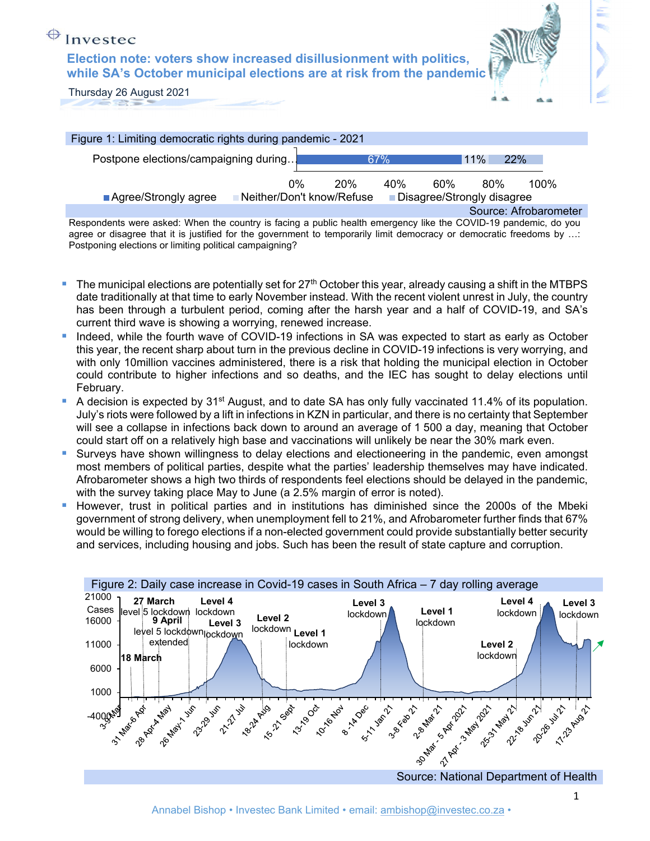**Election note: voters show increased disillusionment with politics, while SA's October municipal elections are at risk from the pandemic** 



Thursday 26 August 2021

| Figure 1: Limiting democratic rights during pandemic - 2021                                                     |    |            |     |               |     |                       |
|-----------------------------------------------------------------------------------------------------------------|----|------------|-----|---------------|-----|-----------------------|
| Postpone elections/campaigning during                                                                           |    | 67%        |     | $11\%$<br>22% |     |                       |
|                                                                                                                 | 0% | <b>20%</b> | 40% | 60%           | 80% | 100%                  |
| <b>Neither/Don't know/Refuse</b><br>■ Agree/Strongly agree<br>Disagree/Strongly disagree                        |    |            |     |               |     |                       |
|                                                                                                                 |    |            |     |               |     | Source: Afrobarometer |
| Respondents were asked: When the country is facing a public health emergency like the COVID-19 pandemic, do you |    |            |     |               |     |                       |

agree or disagree that it is justified for the government to temporarily limit democracy or democratic freedoms by …: Postponing elections or limiting political campaigning?

- The municipal elections are potentially set for  $27<sup>th</sup>$  October this year, already causing a shift in the MTBPS date traditionally at that time to early November instead. With the recent violent unrest in July, the country has been through a turbulent period, coming after the harsh year and a half of COVID-19, and SA's current third wave is showing a worrying, renewed increase.
- Indeed, while the fourth wave of COVID-19 infections in SA was expected to start as early as October this year, the recent sharp about turn in the previous decline in COVID-19 infections is very worrying, and with only 10million vaccines administered, there is a risk that holding the municipal election in October could contribute to higher infections and so deaths, and the IEC has sought to delay elections until February.
- A decision is expected by 31<sup>st</sup> August, and to date SA has only fully vaccinated 11.4% of its population. July's riots were followed by a lift in infections in KZN in particular, and there is no certainty that September will see a collapse in infections back down to around an average of 1 500 a day, meaning that October could start off on a relatively high base and vaccinations will unlikely be near the 30% mark even.
- **Surveys have shown willingness to delay elections and electioneering in the pandemic, even amongst 4** most members of political parties, despite what the parties' leadership themselves may have indicated. Afrobarometer shows a high two thirds of respondents feel elections should be delayed in the pandemic, with the survey taking place May to June (a 2.5% margin of error is noted).
- However, trust in political parties and in institutions has diminished since the 2000s of the Mbeki government of strong delivery, when unemployment fell to 21%, and Afrobarometer further finds that 67% would be willing to forego elections if a non-elected government could provide substantially better security and services, including housing and jobs. Such has been the result of state capture and corruption.

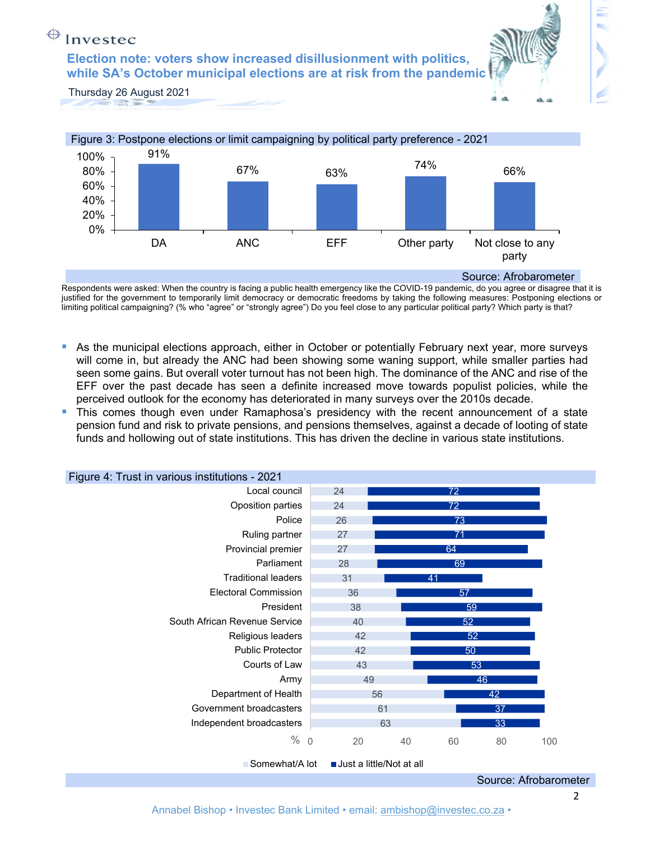**Election note: voters show increased disillusionment with politics, while SA's October municipal elections are at risk from the pandemic** 



Thursday 26 August 2021



Respondents were asked: When the country is facing a public health emergency like the COVID-19 pandemic, do you agree or disagree that it is justified for the government to temporarily limit democracy or democratic freedoms by taking the following measures: Postponing elections or limiting political campaigning? (% who "agree" or "strongly agree") Do you feel close to any particular political party? Which party is that?

- As the municipal elections approach, either in October or potentially February next year, more surveys will come in, but already the ANC had been showing some waning support, while smaller parties had seen some gains. But overall voter turnout has not been high. The dominance of the ANC and rise of the EFF over the past decade has seen a definite increased move towards populist policies, while the perceived outlook for the economy has deteriorated in many surveys over the 2010s decade.
- This comes though even under Ramaphosa's presidency with the recent announcement of a state pension fund and risk to private pensions, and pensions themselves, against a decade of looting of state funds and hollowing out of state institutions. This has driven the decline in various state institutions.



Source: Afrobarometer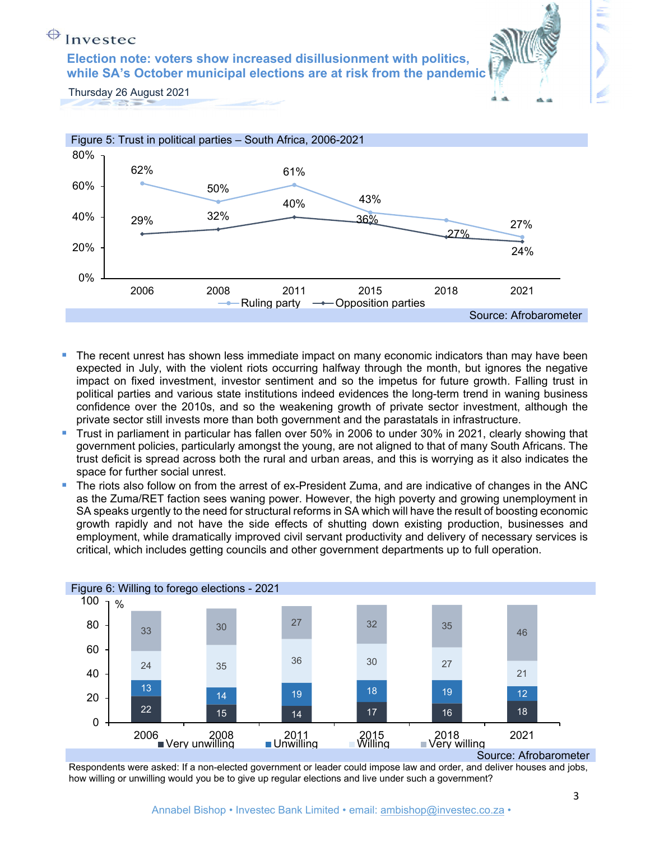**Election note: voters show increased disillusionment with politics, while SA's October municipal elections are at risk from the pandemic** 



Thursday 26 August 2021



- The recent unrest has shown less immediate impact on many economic indicators than may have been expected in July, with the violent riots occurring halfway through the month, but ignores the negative impact on fixed investment, investor sentiment and so the impetus for future growth. Falling trust in political parties and various state institutions indeed evidences the long-term trend in waning business confidence over the 2010s, and so the weakening growth of private sector investment, although the private sector still invests more than both government and the parastatals in infrastructure.
- Trust in parliament in particular has fallen over 50% in 2006 to under 30% in 2021, clearly showing that government policies, particularly amongst the young, are not aligned to that of many South Africans. The trust deficit is spread across both the rural and urban areas, and this is worrying as it also indicates the space for further social unrest.
- The riots also follow on from the arrest of ex-President Zuma, and are indicative of changes in the ANC as the Zuma/RET faction sees waning power. However, the high poverty and growing unemployment in SA speaks urgently to the need for structural reforms in SA which will have the result of boosting economic growth rapidly and not have the side effects of shutting down existing production, businesses and employment, while dramatically improved civil servant productivity and delivery of necessary services is critical, which includes getting councils and other government departments up to full operation.



Source: Afrobarometer

Respondents were asked: If a non-elected government or leader could impose law and order, and deliver houses and jobs, how willing or unwilling would you be to give up regular elections and live under such a government?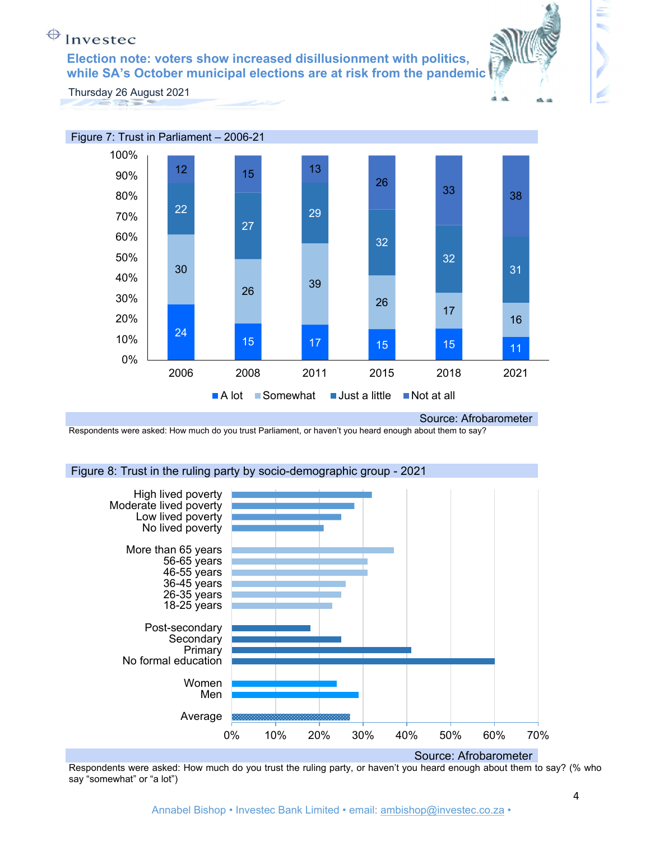**Election note: voters show increased disillusionment with politics, while SA's October municipal elections are at risk from the pandemic** 



tije.

Thursday 26 August 2021



#### Source: Afrobarometer

Respondents were asked: How much do you trust Parliament, or haven't you heard enough about them to say?

### Figure 8: Trust in the ruling party by socio-demographic group - 2021



Respondents were asked: How much do you trust the ruling party, or haven't you heard enough about them to say? (% who say "somewhat" or "a lot")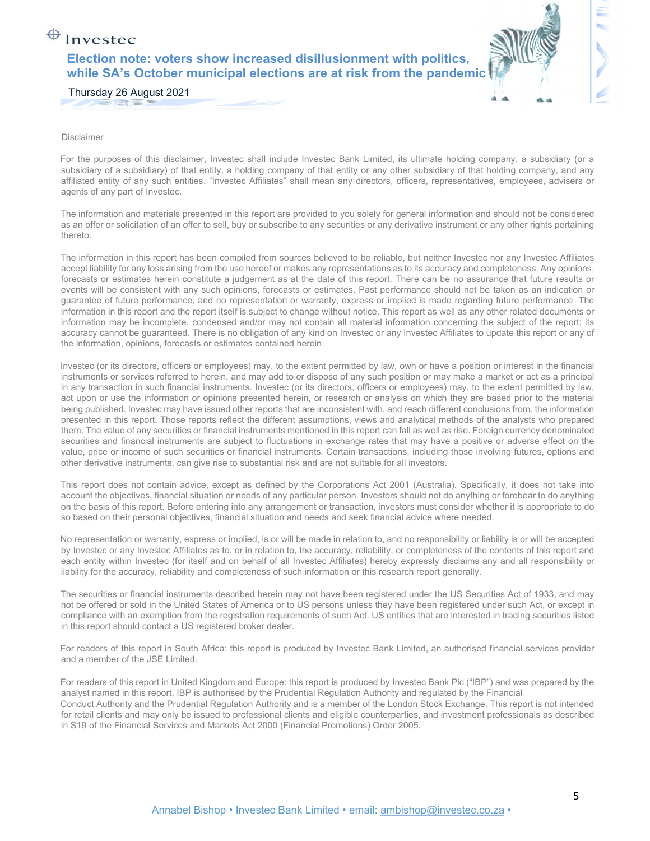### Investec **Election note: voters show increased disillusionment with politics, while SA's October municipal elections are at risk from the pandemic**



Thursday 26 August 2021

Disclaimer

For the purposes of this disclaimer, Investec shall include Investec Bank Limited, its ultimate holding company, a subsidiary (or a subsidiary of a subsidiary) of that entity, a holding company of that entity or any other subsidiary of that holding company, and any affiliated entity of any such entities. "Investec Affiliates" shall mean any directors, officers, representatives, employees, advisers or agents of any part of Investec.

The information and materials presented in this report are provided to you solely for general information and should not be considered as an offer or solicitation of an offer to sell, buy or subscribe to any securities or any derivative instrument or any other rights pertaining thereto.

The information in this report has been compiled from sources believed to be reliable, but neither Investec nor any Investec Affiliates accept liability for any loss arising from the use hereof or makes any representations as to its accuracy and completeness. Any opinions, forecasts or estimates herein constitute a judgement as at the date of this report. There can be no assurance that future results or events will be consistent with any such opinions, forecasts or estimates. Past performance should not be taken as an indication or guarantee of future performance, and no representation or warranty, express or implied is made regarding future performance. The information in this report and the report itself is subject to change without notice. This report as well as any other related documents or information may be incomplete, condensed and/or may not contain all material information concerning the subject of the report; its accuracy cannot be guaranteed. There is no obligation of any kind on Investec or any Investec Affiliates to update this report or any of the information, opinions, forecasts or estimates contained herein.

Investec (or its directors, officers or employees) may, to the extent permitted by law, own or have a position or interest in the financial instruments or services referred to herein, and may add to or dispose of any such position or may make a market or act as a principal in any transaction in such financial instruments. Investec (or its directors, officers or employees) may, to the extent permitted by law, act upon or use the information or opinions presented herein, or research or analysis on which they are based prior to the material being published. Investec may have issued other reports that are inconsistent with, and reach different conclusions from, the information presented in this report. Those reports reflect the different assumptions, views and analytical methods of the analysts who prepared them. The value of any securities or financial instruments mentioned in this report can fall as well as rise. Foreign currency denominated securities and financial instruments are subject to fluctuations in exchange rates that may have a positive or adverse effect on the value, price or income of such securities or financial instruments. Certain transactions, including those involving futures, options and other derivative instruments, can give rise to substantial risk and are not suitable for all investors.

This report does not contain advice, except as defined by the Corporations Act 2001 (Australia). Specifically, it does not take into account the objectives, financial situation or needs of any particular person. Investors should not do anything or forebear to do anything on the basis of this report. Before entering into any arrangement or transaction, investors must consider whether it is appropriate to do so based on their personal objectives, financial situation and needs and seek financial advice where needed.

No representation or warranty, express or implied, is or will be made in relation to, and no responsibility or liability is or will be accepted by Investec or any Investec Affiliates as to, or in relation to, the accuracy, reliability, or completeness of the contents of this report and each entity within Investec (for itself and on behalf of all Investec Affiliates) hereby expressly disclaims any and all responsibility or liability for the accuracy, reliability and completeness of such information or this research report generally.

The securities or financial instruments described herein may not have been registered under the US Securities Act of 1933, and may not be offered or sold in the United States of America or to US persons unless they have been registered under such Act, or except in compliance with an exemption from the registration requirements of such Act. US entities that are interested in trading securities listed in this report should contact a US registered broker dealer.

For readers of this report in South Africa: this report is produced by Investec Bank Limited, an authorised financial services provider and a member of the JSE Limited.

For readers of this report in United Kingdom and Europe: this report is produced by Investec Bank Plc ("IBP") and was prepared by the analyst named in this report. IBP is authorised by the Prudential Regulation Authority and regulated by the Financial Conduct Authority and the Prudential Regulation Authority and is a member of the London Stock Exchange. This report is not intended for retail clients and may only be issued to professional clients and eligible counterparties, and investment professionals as described in S19 of the Financial Services and Markets Act 2000 (Financial Promotions) Order 2005.